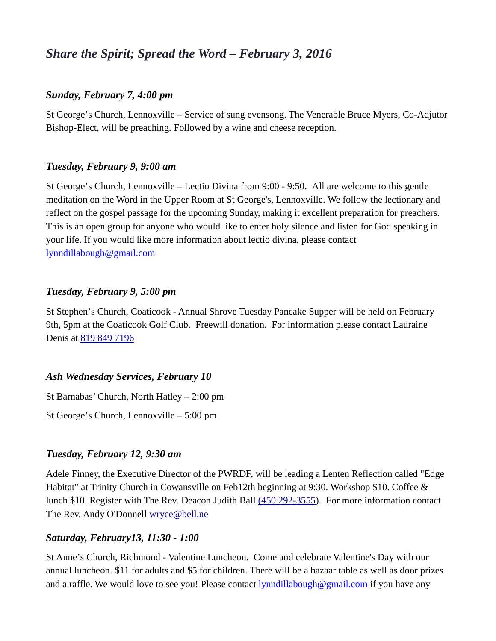# *Share the Spirit; Spread the Word – February 3, 2016*

#### *Sunday, February 7, 4:00 pm*

St George's Church, Lennoxville – Service of sung evensong. The Venerable Bruce Myers, Co-Adjutor Bishop-Elect, will be preaching. Followed by a wine and cheese reception.

#### *Tuesday, February 9, 9:00 am*

St George's Church, Lennoxville – Lectio Divina from 9:00 - 9:50. All are welcome to this gentle meditation on the Word in the Upper Room at St George's, Lennoxville. We follow the lectionary and reflect on the gospel passage for the upcoming Sunday, making it excellent preparation for preachers. This is an open group for anyone who would like to enter holy silence and listen for God speaking in your life. If you would like more information about lectio divina, please contact [lynndillabough@gmail.com](mailto:lynndillabough@gmail.com)

#### *Tuesday, February 9, 5:00 pm*

St Stephen's Church, Coaticook - Annual Shrove Tuesday Pancake Supper will be held on February 9th, 5pm at the Coaticook Golf Club. Freewill donation. For information please contact Lauraine Denis at [819 849 7196](tel:819%20849%207196)

## *Ash Wednesday Services, February 10*

St Barnabas' Church, North Hatley – 2:00 pm

St George's Church, Lennoxville – 5:00 pm

#### *Tuesday, February 12, 9:30 am*

Adele Finney, the Executive Director of the PWRDF, will be leading a Lenten Reflection called "Edge Habitat" at Trinity Church in Cowansville on Feb12th beginning at 9:30. Workshop \$10. Coffee & lunch \$10. Register with The Rev. Deacon Judith Ball [\(450 292-3555\)](tel:(450%20292-3555). For more information contact The Rev. Andy O'Donnell [wryce@bell.ne](mailto:wryce@bell.ne)

## *Saturday, February13, 11:30 - 1:00*

St Anne's Church, Richmond - Valentine Luncheon. Come and celebrate Valentine's Day with our annual luncheon. \$11 for adults and \$5 for children. There will be a bazaar table as well as door prizes and a raffle. We would love to see you! Please contact [lynndillabough@gmail.com](mailto:lynndillabough@gmail.com) if you have any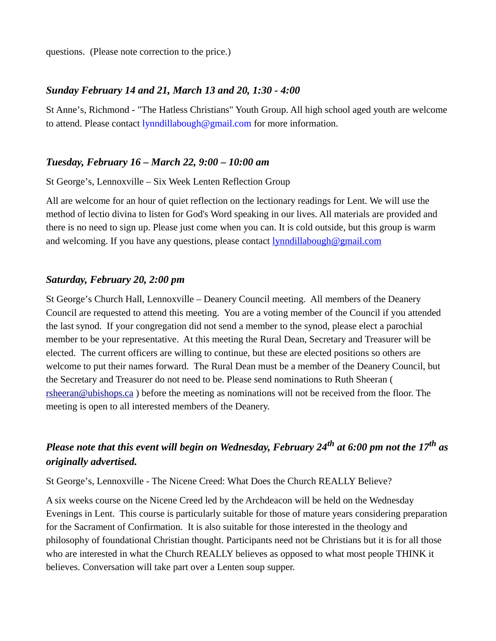#### *Sunday February 14 and 21, March 13 and 20, 1:30 - 4:00*

St Anne's, Richmond - "The Hatless Christians" Youth Group. All high school aged youth are welcome to attend. Please contact [lynndillabough@gmail.com](mailto:lynndillabough@gmail.com) for more information.

#### *Tuesday, February 16 – March 22, 9:00 – 10:00 am*

St George's, Lennoxville – Six Week Lenten Reflection Group

All are welcome for an hour of quiet reflection on the lectionary readings for Lent. We will use the method of lectio divina to listen for God's Word speaking in our lives. All materials are provided and there is no need to sign up. Please just come when you can. It is cold outside, but this group is warm and welcoming. If you have any questions, please contact [lynndillabough@gmail.com](mailto:lynndillabough@gmail.com)

#### *Saturday, February 20, 2:00 pm*

St George's Church Hall, Lennoxville – Deanery Council meeting. All members of the Deanery Council are requested to attend this meeting. You are a voting member of the Council if you attended the last synod. If your congregation did not send a member to the synod, please elect a parochial member to be your representative. At this meeting the Rural Dean, Secretary and Treasurer will be elected. The current officers are willing to continue, but these are elected positions so others are welcome to put their names forward. The Rural Dean must be a member of the Deanery Council, but the Secretary and Treasurer do not need to be. Please send nominations to Ruth Sheeran ( [rsheeran@ubishops.ca](mailto:rsheeran@ubishops.ca) ) before the meeting as nominations will not be received from the floor. The meeting is open to all interested members of the Deanery.

## *Please note that this event will begin on Wednesday, February 24th at 6:00 pm not the 17th as originally advertised.*

St George's, Lennoxville - The Nicene Creed: What Does the Church REALLY Believe?

A six weeks course on the Nicene Creed led by the Archdeacon will be held on the Wednesday Evenings in Lent. This course is particularly suitable for those of mature years considering preparation for the Sacrament of Confirmation. It is also suitable for those interested in the theology and philosophy of foundational Christian thought. Participants need not be Christians but it is for all those who are interested in what the Church REALLY believes as opposed to what most people THINK it believes. Conversation will take part over a Lenten soup supper.